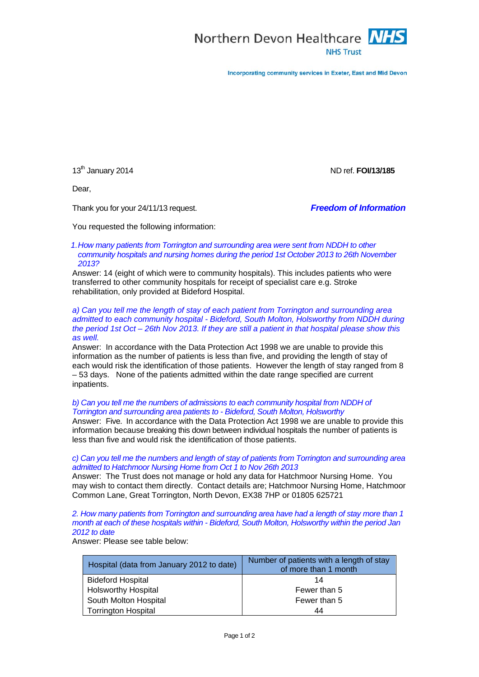

Incorporating community services in Exeter, East and Mid Devon

13th January 2014 ND ref. **FOI/13/185**

Dear,

Thank you for your 24/11/13 request. *Freedom of Information*

You requested the following information:

## *1.How many patients from Torrington and surrounding area were sent from NDDH to other community hospitals and nursing homes during the period 1st October 2013 to 26th November 2013?*

Answer: 14 (eight of which were to community hospitals). This includes patients who were transferred to other community hospitals for receipt of specialist care e.g. Stroke rehabilitation, only provided at Bideford Hospital.

## *a) Can you tell me the length of stay of each patient from Torrington and surrounding area admitted to each community hospital - Bideford, South Molton, Holsworthy from NDDH during the period 1st Oct – 26th Nov 2013. If they are still a patient in that hospital please show this as well.*

Answer: In accordance with the Data Protection Act 1998 we are unable to provide this information as the number of patients is less than five, and providing the length of stay of each would risk the identification of those patients. However the length of stay ranged from 8 – 53 days. None of the patients admitted within the date range specified are current inpatients.

## *b) Can you tell me the numbers of admissions to each community hospital from NDDH of Torrington and surrounding area patients to - Bideford, South Molton, Holsworthy*

Answer: Five. In accordance with the Data Protection Act 1998 we are unable to provide this information because breaking this down between individual hospitals the number of patients is less than five and would risk the identification of those patients.

## *c) Can you tell me the numbers and length of stay of patients from Torrington and surrounding area admitted to Hatchmoor Nursing Home from Oct 1 to Nov 26th 2013*

Answer: The Trust does not manage or hold any data for Hatchmoor Nursing Home. You may wish to contact them directly. Contact details are; Hatchmoor Nursing Home, Hatchmoor Common Lane, Great Torrington, North Devon, EX38 7HP or 01805 625721

*2. How many patients from Torrington and surrounding area have had a length of stay more than 1 month at each of these hospitals within - Bideford, South Molton, Holsworthy within the period Jan 2012 to date*

Answer: Please see table below:

| Hospital (data from January 2012 to date) | Number of patients with a length of stay<br>of more than 1 month |
|-------------------------------------------|------------------------------------------------------------------|
| <b>Bideford Hospital</b>                  | 14                                                               |
| <b>Holsworthy Hospital</b>                | Fewer than 5                                                     |
| South Molton Hospital                     | Fewer than 5                                                     |
| <b>Torrington Hospital</b>                | 44                                                               |